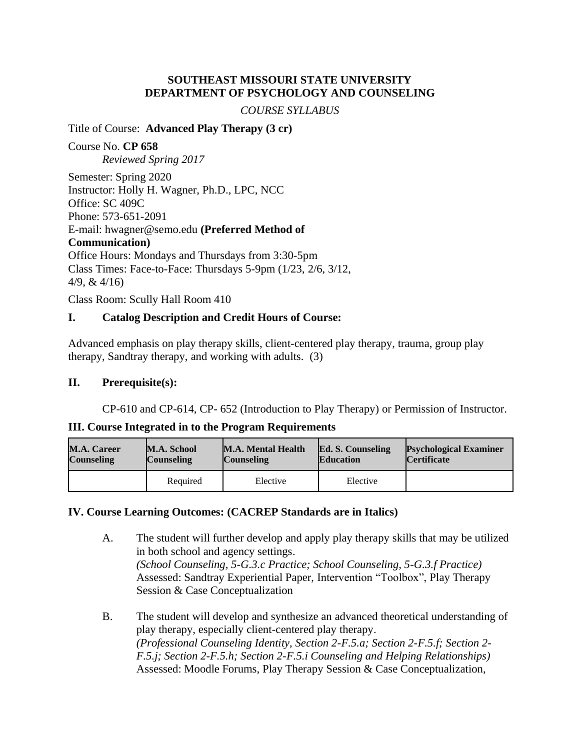### **SOUTHEAST MISSOURI STATE UNIVERSITY DEPARTMENT OF PSYCHOLOGY AND COUNSELING**

#### *COURSE SYLLABUS*

#### Title of Course: **Advanced Play Therapy (3 cr)**

Course No. **CP 658** *Reviewed Spring 2017*

Semester: Spring 2020 Instructor: Holly H. Wagner, Ph.D., LPC, NCC Office: SC 409C Phone: 573-651-2091 E-mail: hwagner@semo.edu **(Preferred Method of Communication)** Office Hours: Mondays and Thursdays from 3:30-5pm Class Times: Face-to-Face: Thursdays 5-9pm (1/23, 2/6, 3/12, 4/9, & 4/16)

Class Room: Scully Hall Room 410

### **I. Catalog Description and Credit Hours of Course:**

Advanced emphasis on play therapy skills, client-centered play therapy, trauma, group play therapy, Sandtray therapy, and working with adults. (3)

#### **II. Prerequisite(s):**

CP-610 and CP-614, CP- 652 (Introduction to Play Therapy) or Permission of Instructor.

#### **III. Course Integrated in to the Program Requirements**

| <b>M.A. Career</b> | M.A. School       | <b>M.A. Mental Health</b> | <b>Ed. S. Counseling</b> | <b>Psychological Examiner</b> |
|--------------------|-------------------|---------------------------|--------------------------|-------------------------------|
| <b>Counseling</b>  | <b>Counseling</b> | <b>Counseling</b>         | <b>Education</b>         | <b>Certificate</b>            |
|                    | Required          | Elective                  | Elective                 |                               |

#### **IV. Course Learning Outcomes: (CACREP Standards are in Italics)**

- A. The student will further develop and apply play therapy skills that may be utilized in both school and agency settings. *(School Counseling, 5-G.3.c Practice; School Counseling, 5-G.3.f Practice)* Assessed: Sandtray Experiential Paper, Intervention "Toolbox", Play Therapy Session & Case Conceptualization
- B. The student will develop and synthesize an advanced theoretical understanding of play therapy, especially client-centered play therapy. *(Professional Counseling Identity, Section 2-F.5.a; Section 2-F.5.f; Section 2- F.5.j; Section 2-F.5.h; Section 2-F.5.i Counseling and Helping Relationships)* Assessed: Moodle Forums, Play Therapy Session & Case Conceptualization,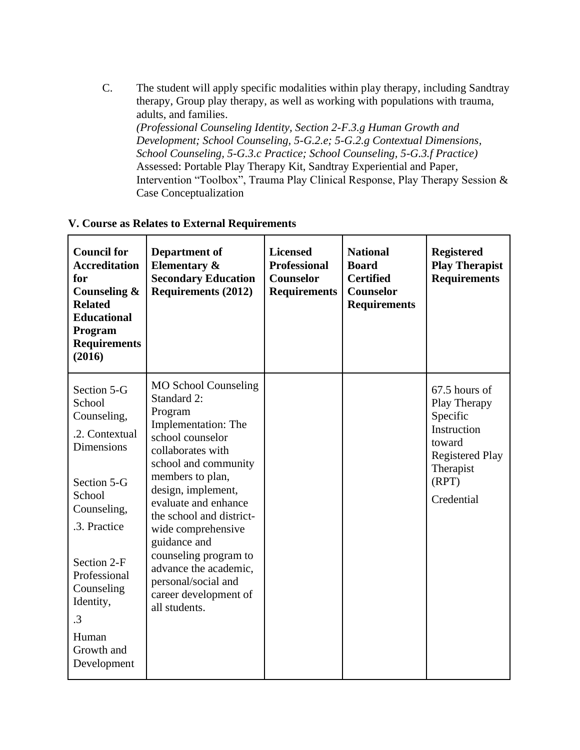C. The student will apply specific modalities within play therapy, including Sandtray therapy, Group play therapy, as well as working with populations with trauma, adults, and families. *(Professional Counseling Identity, Section 2-F.3.g Human Growth and* 

*Development; School Counseling, 5-G.2.e; 5-G.2.g Contextual Dimensions, School Counseling, 5-G.3.c Practice; School Counseling, 5-G.3.f Practice)* Assessed: Portable Play Therapy Kit, Sandtray Experiential and Paper, Intervention "Toolbox", Trauma Play Clinical Response, Play Therapy Session & Case Conceptualization

### **V. Course as Relates to External Requirements**

| <b>Council for</b><br><b>Accreditation</b><br>for<br>Counseling &<br><b>Related</b><br><b>Educational</b><br><b>Program</b><br><b>Requirements</b><br>(2016)                                                                                           | <b>Department of</b><br><b>Elementary &amp;</b><br><b>Secondary Education</b><br><b>Requirements (2012)</b>                                                                                                                                                                                                                                                                                          | <b>Licensed</b><br><b>Professional</b><br><b>Counselor</b><br><b>Requirements</b> | <b>National</b><br><b>Board</b><br><b>Certified</b><br><b>Counselor</b><br><b>Requirements</b> | <b>Registered</b><br><b>Play Therapist</b><br><b>Requirements</b>                                                                |
|--------------------------------------------------------------------------------------------------------------------------------------------------------------------------------------------------------------------------------------------------------|------------------------------------------------------------------------------------------------------------------------------------------------------------------------------------------------------------------------------------------------------------------------------------------------------------------------------------------------------------------------------------------------------|-----------------------------------------------------------------------------------|------------------------------------------------------------------------------------------------|----------------------------------------------------------------------------------------------------------------------------------|
| Section 5-G<br>School<br>Counseling,<br>.2. Contextual<br><b>Dimensions</b><br>Section 5-G<br>School<br>Counseling,<br>.3. Practice<br>Section 2-F<br>Professional<br>Counseling<br>Identity,<br>$\overline{.}3$<br>Human<br>Growth and<br>Development | <b>MO School Counseling</b><br>Standard 2:<br>Program<br>Implementation: The<br>school counselor<br>collaborates with<br>school and community<br>members to plan,<br>design, implement,<br>evaluate and enhance<br>the school and district-<br>wide comprehensive<br>guidance and<br>counseling program to<br>advance the academic,<br>personal/social and<br>career development of<br>all students. |                                                                                   |                                                                                                | 67.5 hours of<br>Play Therapy<br>Specific<br>Instruction<br>toward<br><b>Registered Play</b><br>Therapist<br>(RPT)<br>Credential |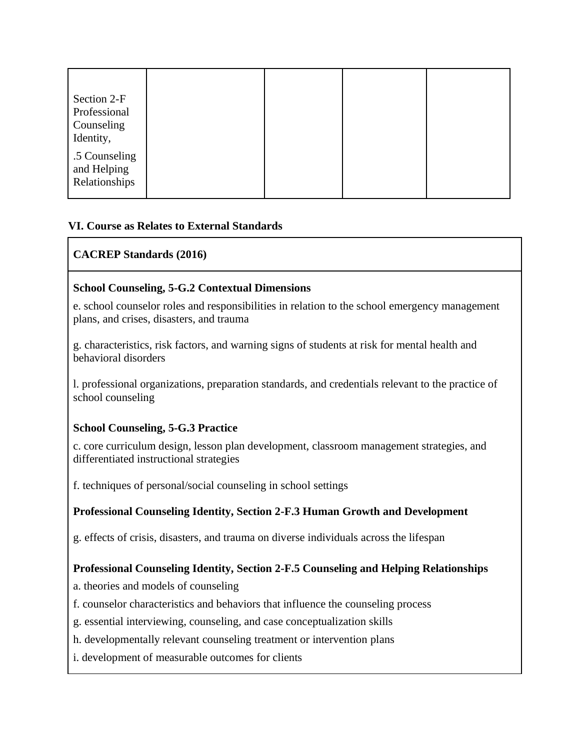| Section 2-F<br>Professional<br>Counseling<br>Identity, |  |  |
|--------------------------------------------------------|--|--|
| .5 Counseling<br>and Helping<br>Relationships          |  |  |

# **VI. Course as Relates to External Standards**

# **CACREP Standards (2016)**

# **School Counseling, 5-G.2 Contextual Dimensions**

e. school counselor roles and responsibilities in relation to the school emergency management plans, and crises, disasters, and trauma

g. characteristics, risk factors, and warning signs of students at risk for mental health and behavioral disorders

l. professional organizations, preparation standards, and credentials relevant to the practice of school counseling

# **School Counseling, 5-G.3 Practice**

c. core curriculum design, lesson plan development, classroom management strategies, and differentiated instructional strategies

f. techniques of personal/social counseling in school settings

# **Professional Counseling Identity, Section 2-F.3 Human Growth and Development**

g. effects of crisis, disasters, and trauma on diverse individuals across the lifespan

# **Professional Counseling Identity, Section 2-F.5 Counseling and Helping Relationships**

a. theories and models of counseling

- f. counselor characteristics and behaviors that influence the counseling process
- g. essential interviewing, counseling, and case conceptualization skills
- h. developmentally relevant counseling treatment or intervention plans
- i. development of measurable outcomes for clients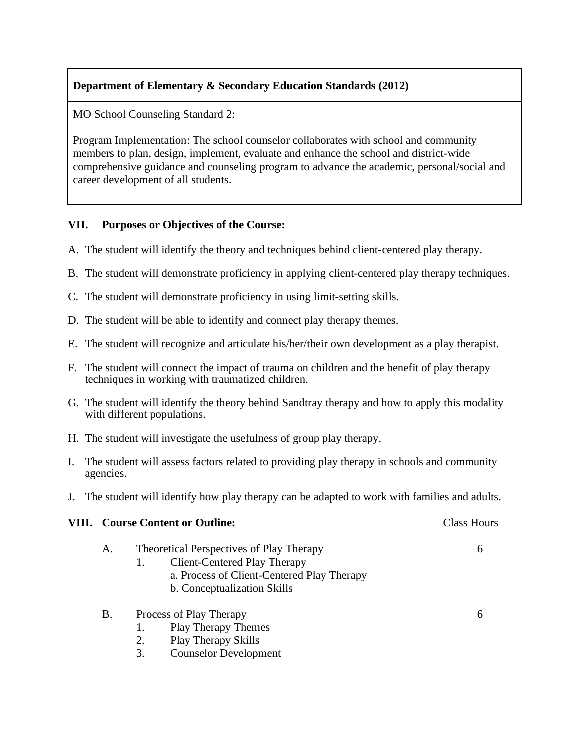# **Department of Elementary & Secondary Education Standards (2012)**

MO School Counseling Standard 2:

Program Implementation: The school counselor collaborates with school and community members to plan, design, implement, evaluate and enhance the school and district-wide comprehensive guidance and counseling program to advance the academic, personal/social and career development of all students.

### **VII. Purposes or Objectives of the Course:**

- A. The student will identify the theory and techniques behind client-centered play therapy.
- B. The student will demonstrate proficiency in applying client-centered play therapy techniques.
- C. The student will demonstrate proficiency in using limit-setting skills.
- D. The student will be able to identify and connect play therapy themes.
- E. The student will recognize and articulate his/her/their own development as a play therapist.
- F. The student will connect the impact of trauma on children and the benefit of play therapy techniques in working with traumatized children.
- G. The student will identify the theory behind Sandtray therapy and how to apply this modality with different populations.
- H. The student will investigate the usefulness of group play therapy.
- I. The student will assess factors related to providing play therapy in schools and community agencies.
- J. The student will identify how play therapy can be adapted to work with families and adults.

#### **VIII.** Course Content or Outline: Class Hours Class Hours

| A. | Theoretical Perspectives of Play Therapy |                              |  |
|----|------------------------------------------|------------------------------|--|
|    |                                          | Client-Centered Play Therapy |  |

- a. Process of Client-Centered Play Therapy
- b. Conceptualization Skills

| Β. | Process of Play Therapy |  |
|----|-------------------------|--|
|----|-------------------------|--|

- 1. Play Therapy Themes
- 2. Play Therapy Skills
- 3. Counselor Development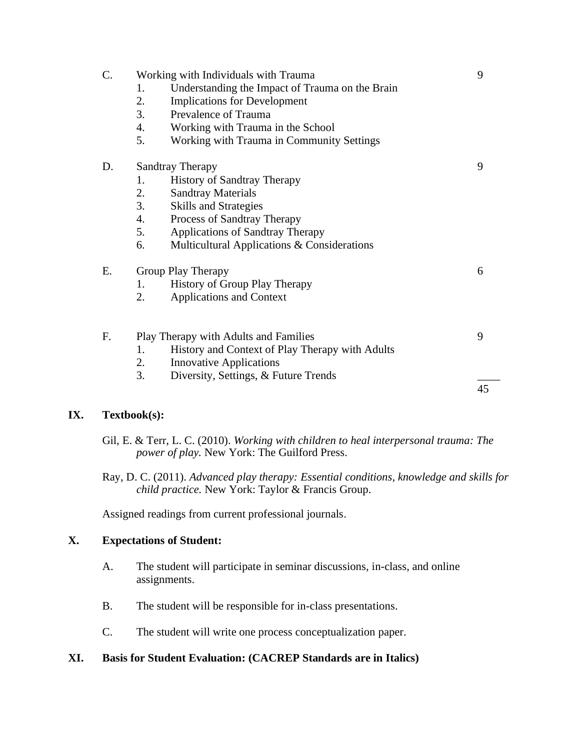### **IX. Textbook(s):**

Gil, E. & Terr, L. C. (2010). *Working with children to heal interpersonal trauma: The power of play.* New York: The Guilford Press.

Ray, D. C. (2011). *Advanced play therapy: Essential conditions, knowledge and skills for child practice.* New York: Taylor & Francis Group.

Assigned readings from current professional journals.

#### **X. Expectations of Student:**

- A. The student will participate in seminar discussions, in-class, and online assignments.
- B. The student will be responsible for in-class presentations.
- C. The student will write one process conceptualization paper.

#### **XI. Basis for Student Evaluation: (CACREP Standards are in Italics)**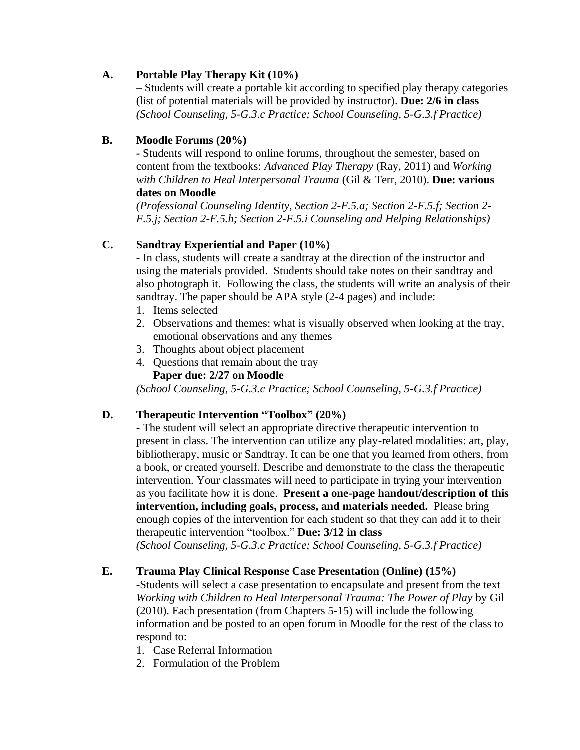# **A. Portable Play Therapy Kit (10%)**

– Students will create a portable kit according to specified play therapy categories (list of potential materials will be provided by instructor). **Due: 2/6 in class** *(School Counseling, 5-G.3.c Practice; School Counseling, 5-G.3.f Practice)*

# **B. Moodle Forums (20%)**

**-** Students will respond to online forums, throughout the semester, based on content from the textbooks: *Advanced Play Therapy* (Ray, 2011) and *Working with Children to Heal Interpersonal Trauma* (Gil & Terr, 2010). **Due: various dates on Moodle**

*(Professional Counseling Identity, Section 2-F.5.a; Section 2-F.5.f; Section 2- F.5.j; Section 2-F.5.h; Section 2-F.5.i Counseling and Helping Relationships)*

# **C. Sandtray Experiential and Paper (10%)**

- In class, students will create a sandtray at the direction of the instructor and using the materials provided. Students should take notes on their sandtray and also photograph it. Following the class, the students will write an analysis of their sandtray. The paper should be APA style (2-4 pages) and include:

- 1. Items selected
- 2. Observations and themes: what is visually observed when looking at the tray, emotional observations and any themes
- 3. Thoughts about object placement
- 4. Questions that remain about the tray **Paper due: 2/27 on Moodle**

*(School Counseling, 5-G.3.c Practice; School Counseling, 5-G.3.f Practice)*

# **D. Therapeutic Intervention "Toolbox" (20%)**

- The student will select an appropriate directive therapeutic intervention to present in class. The intervention can utilize any play-related modalities: art, play, bibliotherapy, music or Sandtray. It can be one that you learned from others, from a book, or created yourself. Describe and demonstrate to the class the therapeutic intervention. Your classmates will need to participate in trying your intervention as you facilitate how it is done. **Present a one-page handout/description of this intervention, including goals, process, and materials needed.** Please bring enough copies of the intervention for each student so that they can add it to their therapeutic intervention "toolbox." **Due: 3/12 in class**

*(School Counseling, 5-G.3.c Practice; School Counseling, 5-G.3.f Practice)*

# **E. Trauma Play Clinical Response Case Presentation (Online) (15%)**

**-**Students will select a case presentation to encapsulate and present from the text *Working with Children to Heal Interpersonal Trauma: The Power of Play* by Gil (2010). Each presentation (from Chapters 5-15) will include the following information and be posted to an open forum in Moodle for the rest of the class to respond to:

- 1. Case Referral Information
- 2. Formulation of the Problem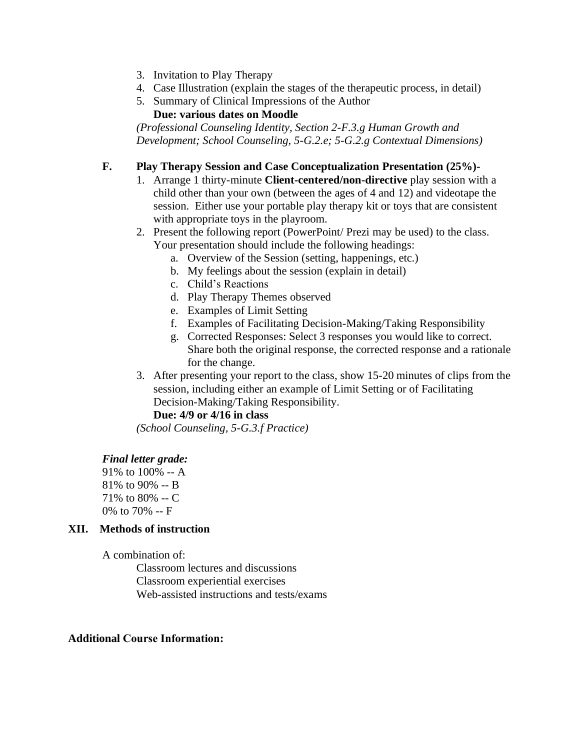- 3. Invitation to Play Therapy
- 4. Case Illustration (explain the stages of the therapeutic process, in detail)
- 5. Summary of Clinical Impressions of the Author

**Due: various dates on Moodle**

*(Professional Counseling Identity, Section 2-F.3.g Human Growth and Development; School Counseling, 5-G.2.e; 5-G.2.g Contextual Dimensions)*

# **F. Play Therapy Session and Case Conceptualization Presentation (25%)-**

- 1. Arrange 1 thirty-minute **Client-centered/non-directive** play session with a child other than your own (between the ages of 4 and 12) and videotape the session. Either use your portable play therapy kit or toys that are consistent with appropriate toys in the playroom.
- 2. Present the following report (PowerPoint/ Prezi may be used) to the class. Your presentation should include the following headings:
	- a. Overview of the Session (setting, happenings, etc.)
	- b. My feelings about the session (explain in detail)
	- c. Child's Reactions
	- d. Play Therapy Themes observed
	- e. Examples of Limit Setting
	- f. Examples of Facilitating Decision-Making/Taking Responsibility
	- g. Corrected Responses: Select 3 responses you would like to correct. Share both the original response, the corrected response and a rationale for the change.
- 3. After presenting your report to the class, show 15-20 minutes of clips from the session, including either an example of Limit Setting or of Facilitating Decision-Making/Taking Responsibility.

# **Due: 4/9 or 4/16 in class**

*(School Counseling, 5-G.3.f Practice)*

#### *Final letter grade:*

91% to 100% -- A 81% to 90% -- B 71% to 80% -- C 0% to 70% -- F

#### **XII. Methods of instruction**

A combination of:

Classroom lectures and discussions Classroom experiential exercises Web-assisted instructions and tests/exams

#### **Additional Course Information:**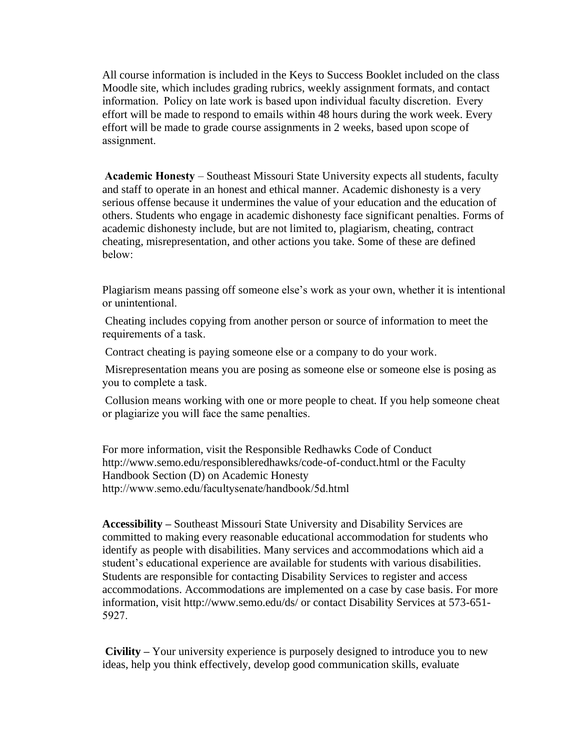All course information is included in the Keys to Success Booklet included on the class Moodle site, which includes grading rubrics, weekly assignment formats, and contact information.  Policy on late work is based upon individual faculty discretion.  Every effort will be made to respond to emails within 48 hours during the work week. Every effort will be made to grade course assignments in 2 weeks, based upon scope of assignment. 

**Academic Honesty** – Southeast Missouri State University expects all students, faculty and staff to operate in an honest and ethical manner. Academic dishonesty is a very serious offense because it undermines the value of your education and the education of others. Students who engage in academic dishonesty face significant penalties. Forms of academic dishonesty include, but are not limited to, plagiarism, cheating, contract cheating, misrepresentation, and other actions you take. Some of these are defined below: 

Plagiarism means passing off someone else's work as your own, whether it is intentional or unintentional. 

Cheating includes copying from another person or source of information to meet the requirements of a task.  

Contract cheating is paying someone else or a company to do your work.  

Misrepresentation means you are posing as someone else or someone else is posing as you to complete a task.  

Collusion means working with one or more people to cheat. If you help someone cheat or plagiarize you will face the same penalties. 

For more information, visit the Responsible Redhawks Code of Conduct http://www.semo.edu/responsibleredhawks/code-of-conduct.html or the Faculty Handbook Section (D) on Academic Honesty http://www.semo.edu/facultysenate/handbook/5d.html 

**Accessibility –** Southeast Missouri State University and Disability Services are committed to making every reasonable educational accommodation for students who identify as people with disabilities. Many services and accommodations which aid a student's educational experience are available for students with various disabilities. Students are responsible for contacting Disability Services to register and access accommodations. Accommodations are implemented on a case by case basis. For more information, visit http://www.semo.edu/ds/ or contact Disability Services at 573-651- 5927. 

**Civility –** Your university experience is purposely designed to introduce you to new ideas, help you think effectively, develop good communication skills, evaluate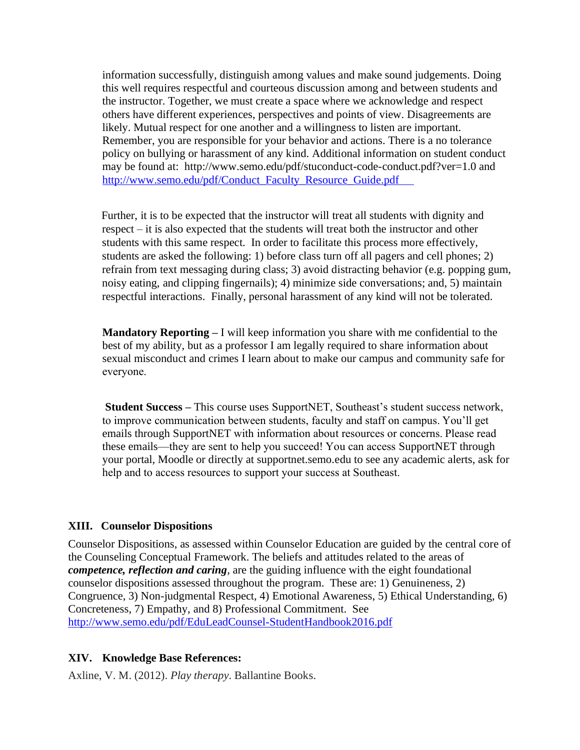information successfully, distinguish among values and make sound judgements. Doing this well requires respectful and courteous discussion among and between students and the instructor. Together, we must create a space where we acknowledge and respect others have different experiences, perspectives and points of view. Disagreements are likely. Mutual respect for one another and a willingness to listen are important. Remember, you are responsible for your behavior and actions. There is a no tolerance policy on bullying or harassment of any kind. Additional information on student conduct may be found at: http://www.semo.edu/pdf/stuconduct-code-conduct.pdf?ver=1.0 and [http://www.semo.edu/pdf/Conduct\\_Faculty\\_Resource\\_Guide.pdf](http://www.semo.edu/pdf/Conduct_Faculty_Resource_Guide.pdf     ) 

Further, it is to be expected that the instructor will treat all students with dignity and respect – it is also expected that the students will treat both the instructor and other students with this same respect. In order to facilitate this process more effectively, students are asked the following: 1) before class turn off all pagers and cell phones; 2) refrain from text messaging during class; 3) avoid distracting behavior (e.g. popping gum, noisy eating, and clipping fingernails); 4) minimize side conversations; and, 5) maintain respectful interactions. Finally, personal harassment of any kind will not be tolerated.

**Mandatory Reporting –** I will keep information you share with me confidential to the best of my ability, but as a professor I am legally required to share information about sexual misconduct and crimes I learn about to make our campus and community safe for everyone.  

**Student Success –** This course uses SupportNET, Southeast's student success network, to improve communication between students, faculty and staff on campus. You'll get emails through SupportNET with information about resources or concerns. Please read these emails—they are sent to help you succeed! You can access SupportNET through your portal, Moodle or directly at supportnet.semo.edu to see any academic alerts, ask for help and to access resources to support your success at Southeast. 

#### **XIII. Counselor Dispositions**

Counselor Dispositions, as assessed within Counselor Education are guided by the central core of the Counseling Conceptual Framework. The beliefs and attitudes related to the areas of *competence, reflection and caring*, are the guiding influence with the eight foundational counselor dispositions assessed throughout the program. These are: 1) Genuineness, 2) Congruence, 3) Non-judgmental Respect, 4) Emotional Awareness, 5) Ethical Understanding, 6) Concreteness, 7) Empathy, and 8) Professional Commitment. See <http://www.semo.edu/pdf/EduLeadCounsel-StudentHandbook2016.pdf>

#### **XIV. Knowledge Base References:**

Axline, V. M. (2012). *Play therapy*. Ballantine Books.